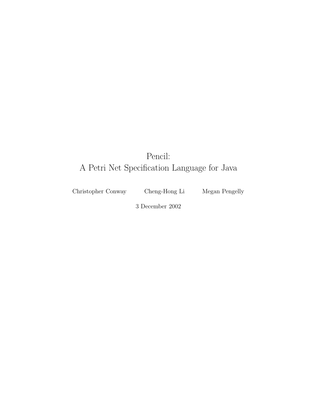# Pencil: A Petri Net Specification Language for Java

Christopher Conway Cheng-Hong Li Megan Pengelly

3 December 2002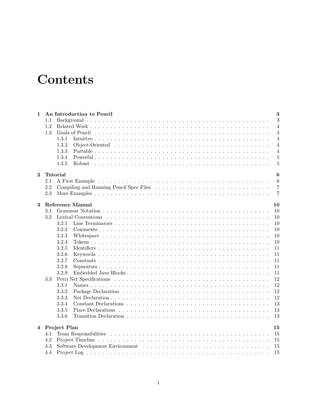# **Contents**

| $\mathbf{1}$   |     | An Introduction to Pencil<br>3          |                |  |  |  |  |  |
|----------------|-----|-----------------------------------------|----------------|--|--|--|--|--|
|                | 1.1 |                                         | 3              |  |  |  |  |  |
|                | 1.2 |                                         | $\overline{4}$ |  |  |  |  |  |
|                | 1.3 |                                         | $\overline{4}$ |  |  |  |  |  |
|                |     | 1.3.1                                   | 4              |  |  |  |  |  |
|                |     | 1.3.2                                   | $\overline{4}$ |  |  |  |  |  |
|                |     | 1.3.3                                   | $\overline{4}$ |  |  |  |  |  |
|                |     | 1.3.4                                   | $\overline{5}$ |  |  |  |  |  |
|                |     | 1.3.5                                   | 5              |  |  |  |  |  |
| $\overline{2}$ |     | Tutorial<br>6                           |                |  |  |  |  |  |
|                | 2.1 |                                         | 6              |  |  |  |  |  |
|                | 2.2 | Compiling and Running Pencil Spec Files | $\overline{7}$ |  |  |  |  |  |
|                | 2.3 |                                         | $\overline{7}$ |  |  |  |  |  |
| 3              |     | <b>Reference Manual</b>                 | 10             |  |  |  |  |  |
|                | 3.1 |                                         | 10             |  |  |  |  |  |
|                | 3.2 |                                         | 10             |  |  |  |  |  |
|                |     | 3.2.1                                   | 10             |  |  |  |  |  |
|                |     | 3.2.2                                   | 10             |  |  |  |  |  |
|                |     | 3.2.3                                   | 10             |  |  |  |  |  |
|                |     | 3.2.4                                   | 10             |  |  |  |  |  |
|                |     | 3.2.5                                   | 11             |  |  |  |  |  |
|                |     | 3.2.6                                   | 11             |  |  |  |  |  |
|                |     | 3.2.7                                   | 11             |  |  |  |  |  |
|                |     | 3.2.8                                   | 11             |  |  |  |  |  |
|                |     | 3.2.9                                   | 11             |  |  |  |  |  |
|                | 3.3 |                                         | 12             |  |  |  |  |  |
|                |     | 3.3.1                                   | 12             |  |  |  |  |  |
|                |     | 3.3.2                                   | 12             |  |  |  |  |  |
|                |     | 3.3.3                                   | 12             |  |  |  |  |  |
|                |     | 3.3.4                                   | 13             |  |  |  |  |  |
|                |     | 3.3.5                                   | 13             |  |  |  |  |  |
|                |     | 3.3.6                                   | 13             |  |  |  |  |  |
|                |     | 4 Project Plan                          | 15             |  |  |  |  |  |
|                | 4.1 |                                         | 15             |  |  |  |  |  |
|                | 4.2 |                                         | 15             |  |  |  |  |  |
|                | 4.3 |                                         | 15             |  |  |  |  |  |
|                | 4.4 |                                         | 15             |  |  |  |  |  |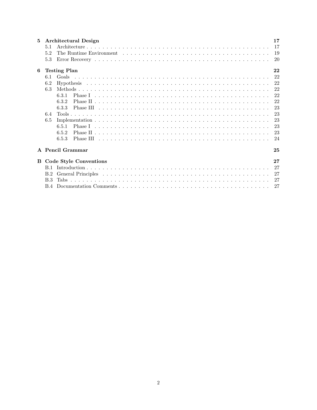| 5 | Architectural Design            | 17 |  |  |  |  |
|---|---------------------------------|----|--|--|--|--|
|   | 5.1                             | 17 |  |  |  |  |
|   | 5.2                             | 19 |  |  |  |  |
|   | 5.3                             | 20 |  |  |  |  |
| 6 | 22<br><b>Testing Plan</b>       |    |  |  |  |  |
|   | Goals<br>6.1                    | 22 |  |  |  |  |
|   | 6.2                             | 22 |  |  |  |  |
|   | 6.3                             | 22 |  |  |  |  |
|   | 6.3.1                           | 22 |  |  |  |  |
|   | 6.3.2                           | 22 |  |  |  |  |
|   | 6.3.3                           | 23 |  |  |  |  |
|   | 6.4                             | 23 |  |  |  |  |
|   | 6.5                             | 23 |  |  |  |  |
|   | 6.5.1                           | 23 |  |  |  |  |
|   | 6.5.2                           | 23 |  |  |  |  |
|   | 6.5.3                           | 24 |  |  |  |  |
|   | A Pencil Grammar                | 25 |  |  |  |  |
|   | <b>B</b> Code Style Conventions | 27 |  |  |  |  |
|   |                                 | 27 |  |  |  |  |
|   | B.2                             | 27 |  |  |  |  |
|   | B.3                             | 27 |  |  |  |  |
|   | B.4                             | 27 |  |  |  |  |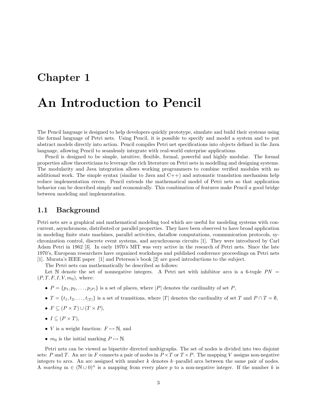# An Introduction to Pencil

The Pencil language is designed to help developers quickly prototype, simulate and build their systems using the formal language of Petri nets. Using Pencil, it is possible to specify and model a system and to put abstract models directly into action. Pencil compiles Petri net specifications into objects defined in the Java language, allowing Pencil to seamlessly integrate with real-world enterprise applications.

Pencil is designed to be simple, intuitive, flexible, formal, powerful and highly modular. The formal properties allow theoreticians to leverage the rich literature on Petri nets in modelling and designing systems. The modularity and Java integration allows working programmers to combine verified modules with no additional work. The simple syntax (similar to Java and  $C++$ ) and automatic translation mechanism help reduce implementation errors. Pencil extends the mathematical model of Petri nets so that application behavior can be described simply and economically. This combination of features make Pencil a good bridge between modeling and implementation.

### 1.1 Background

Petri nets are a graphical and mathematical modeling tool which are useful for modeling systems with concurrent, asynchronous, distributed or parallel properties. They have been observed to have broad application in modeling finite state machines, parallel activities, dataflow computations, communication protocols, sychronization control, discrete event systems, and asynchronous circuits [1]. They were introduced by Carl Adam Petri in 1962 [3]. In early 1970's MIT was very active in the research of Petri nets. Since the late 1970's, European researchers have organized workshops and published conference proceedings on Petri nets [1]. Murata's IEEE paper [1] and Peterson's book [2] are good introductions to the subject.

The Petri nets can mathematically be described as follows:

Let N denote the set of nonnegative integers. A Petri net with inhibitor arcs is a 6-tuple  $PN =$  $(P, T, F, I, V, m_0)$ , where:

- $P = \{p_1, p_2, \ldots, p_{|P|}\}\$ is a set of places, where  $|P|$  denotes the cardinality of set P,
- $T = \{t_1, t_2, \ldots, t_{|T|}\}\$ is a set of transitions, where  $|T|$  denotes the cardinality of set T and  $P \cap T = \emptyset$ ,
- $F \subseteq (P \times T) \cup (T \times P),$
- $I \subseteq (P \times T)$ ,
- *V* is a weight function:  $F \mapsto \mathbb{N}$ , and
- $m_0$  is the initial marking  $P \mapsto \mathbb{N}$ .

Petri nets can be viewed as bipartite directed multigraphs. The set of nodes is divided into two disjoint sets: P and T. An arc in F connects a pair of nodes in  $P \times T$  or  $T \times P$ . The mapping V assigns non-negative integers to arcs. An arc assigned with number  $k$  denotes  $k$ –parallel arcs between the same pair of nodes. A marking  $m \in (\mathbb{N} \cup 0)^n$  is a mapping from every place p to a non-negative integer. If the number k is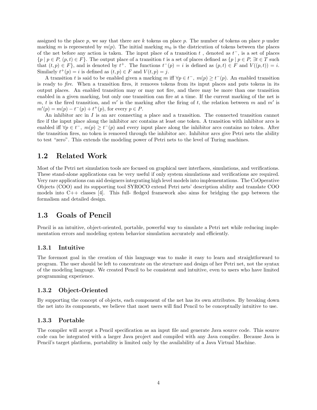assigned to the place p, we say that there are k tokens on place p. The number of tokens on place p under marking m is represented by  $m(p)$ . The initial marking  $m_0$  is the districution of tokens between the places of the net before any action is taken. The input place of a transition  $t$ , denoted as  $t^-$ , is a set of places  ${p \mid p \in P, (p,t) \in F}$ . The output place of a transition t is a set of places defined as  ${p \mid p \in P, \exists t \in T \text{ such}}$ that  $(t, p) \in F$ , and is denoted by  $t^+$ . The functions  $t^-(p) = i$  is defined as  $(p, t) \in F$  and  $V((p, t)) = i$ . Similarly  $t^+(p) = i$  is defined as  $(t, p) \in F$  and  $V(t, p) = j$ .

A transition t is said to be enabled given a marking m iff  $\forall p \in t^-$ ,  $m(p) \geq t^-(p)$ . An enabled transition is ready to fire. When a transition fires, it removes tokens from its input places and puts tokens in its output places. An enabled transition may or may not fire, and there may be more than one transition enabled in a given marking, but only one transition can fire at a time. If the current marking of the net is m, t is the fired transition, and m' is the marking after the firing of t, the relation between m and m' is  $m'(p) = m(p) - t^{-}(p) + t^{+}(p)$ , for every  $p \in P$ .

An inhibitor arc in I is an arc connecting a place and a transition. The connected transition cannot fire if the input place along the inhibitor arc contains at least one token. A transition with inhibitor arcs is enabled iff  $\forall p \in t^-$ ,  $m(p) \geq t^-(p)$  and every input place along the inhibitor arcs contains no token. After the transition fires, no token is removed through the inhibitor arc. Inhibitor arcs give Petri nets the ability to test "zero". This extends the modeling power of Petri nets to the level of Turing machines.

## 1.2 Related Work

Most of the Petri net simulation tools are focused on graphical user interfaces, simulations, and verifications. These stand-alone applications can be very useful if only system simulations and verifications are required. Very rare applications can aid designers integrating high level models into implementations. The CoOperative Objects (COO) and its supporting tool SYROCO extend Petri nets' description ability and translate COO models into  $C++$  classes [4]. This full- fledged framework also aims for bridging the gap between the formalism and detailed design.

### 1.3 Goals of Pencil

Pencil is an intuitive, object-oriented, portable, powerful way to simulate a Petri net while reducing implementation errors and modeling system behavior simulation accurately and efficiently.

### 1.3.1 Intuitive

The foremost goal in the creation of this language was to make it easy to learn and straightforward to program. The user should be left to concentrate on the structure and design of her Petri net, not the syntax of the modeling language. We created Pencil to be consistent and intuitive, even to users who have limited programming experience.

#### 1.3.2 Object-Oriented

By supporting the concept of objects, each component of the net has its own attributes. By breaking down the net into its components, we believe that most users will find Pencil to be conceptually intuitive to use.

### 1.3.3 Portable

The compiler will accept a Pencil specification as an input file and generate Java source code. This source code can be integrated with a larger Java project and compiled with any Java compiler. Because Java is Pencil's target platform, portability is limited only by the availability of a Java Virtual Machine.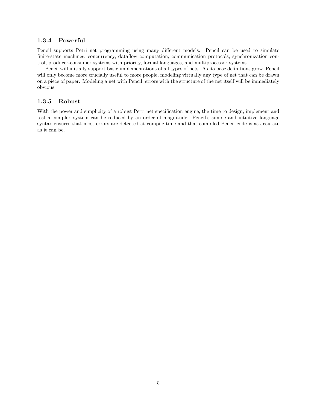### 1.3.4 Powerful

Pencil supports Petri net programming using many different models. Pencil can be used to simulate finite-state machines, concurrency, dataflow computation, communication protocols, synchronization control, producer-consumer systems with priority, formal languages, and multiprocessor systems.

Pencil will initially support basic implementations of all types of nets. As its base definitions grow, Pencil will only become more crucially useful to more people, modeling virtually any type of net that can be drawn on a piece of paper. Modeling a net with Pencil, errors with the structure of the net itself will be immediately obvious.

### 1.3.5 Robust

With the power and simplicity of a robust Petri net specification engine, the time to design, implement and test a complex system can be reduced by an order of magnitude. Pencil's simple and intuitive language syntax ensures that most errors are detected at compile time and that compiled Pencil code is as accurate as it can be.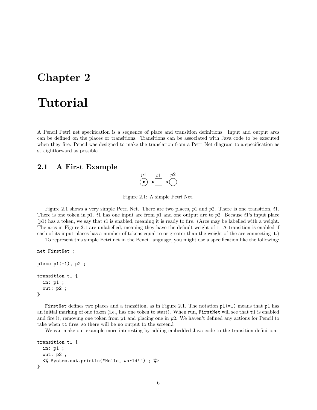# Tutorial

A Pencil Petri net specification is a sequence of place and transition definitions. Input and output arcs can be defined on the places or transitions. Transitions can be associated with Java code to be executed when they fire. Pencil was designed to make the translation from a Petri Net diagram to a specification as straightforward as possible.

### 2.1 A First Example



Figure 2.1: A simple Petri Net.

Figure 2.1 shows a very simple Petri Net. There are two places, p1 and p2. There is one transition, t1. There is one token in p1. t1 has one input arc from p1 and one output arc to p2. Because t1's input place  $(p1)$  has a token, we say that t1 is enabled, meaning it is ready to fire. (Arcs may be labelled with a weight. The arcs in Figure 2.1 are unlabelled, meaning they have the default weight of 1. A transition is enabled if each of its input places has a number of tokens equal to or greater than the weight of the arc connecting it.)

To represent this simple Petri net in the Pencil language, you might use a specification like the following:

```
net FirstNet ;
place p1 (=1), p2;
transition t1 {
  in: p1 ;
  out: p2 ;
}
```
FirstNet defines two places and a transition, as in Figure 2.1. The notation  $p1(=1)$  means that p1 has an initial marking of one token (i.e., has one token to start). When run, FirstNet will see that t1 is enabled and fire it, removing one token from p1 and placing one in p2. We haven't defined any actions for Pencil to take when t1 fires, so there will be no output to the screen.l

We can make our example more interesting by adding embedded Java code to the transition definition:

```
transition t1 {
  in: p1 ;
  out: p2 ;
  <% System.out.println("Hello, world!") ; %>
}
```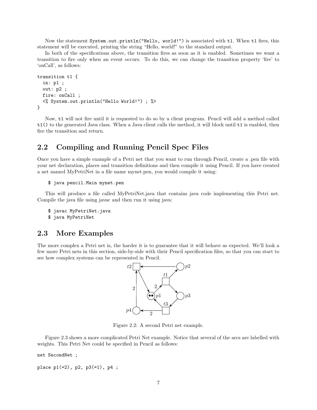Now the statement System.out.println("Hello, world!") is associated with t1. When t1 fires, this statement will be executed, printing the string "Hello, world!" to the standard output.

In both of the specifications above, the transition fires as soon as it is enabled. Sometimes we want a transition to fire only when an event occurs. To do this, we can change the transition property 'fire' to 'onCall', as follows:

```
transition t1 {
  in: p1 ;
  out: p2 ;
  fire: onCall ;
  <% System.out.println("Hello World!") ; %>
}
```
Now, t1 will not fire until it is requested to do so by a client program. Pencil will add a method called t1() to the generated Java class. When a Java client calls the method, it will block until t1 is enabled, then fire the transition and return.

## 2.2 Compiling and Running Pencil Spec Files

Once you have a simple example of a Petri net that you want to run through Pencil, create a .pen file with your net declaration, places and transition definitions and then compile it using Pencil. If you have created a net named MyPetriNet in a file name mynet.pen, you would compile it using:

```
$ java pencil.Main mynet.pen
```
This will produce a file called MyPetriNet.java that contains java code implementing this Petri net. Compile the java file using javac and then run it using java:

```
$ javac MyPetriNet.java
```
\$ java MyPetriNet

### 2.3 More Examples

The more complex a Petri net is, the harder it is to guarantee that it will behave as expected. We'll look a few more Petri nets in this section, side-by-side with their Pencil specification files, so that you can start to see how complex systems can be represented in Pencil.



Figure 2.2: A second Petri net example.

Figure 2.3 shows a more complicated Petri Net example. Notice that several of the arcs are labelled with weights. This Petri Net could be specified in Pencil as follows:

net SecondNet ;

place  $p1(=2)$ ,  $p2$ ,  $p3(=1)$ ,  $p4$ ;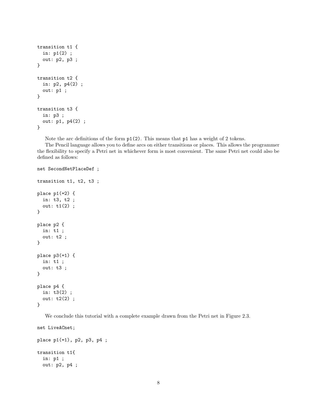```
transition t1 {
  in: p1(2) ;
  out: p2, p3 ;
}
transition t2 {
  in: p2, p4(2) ;
  out: p1 ;
}
transition t3 {
  in: p3 ;
  out: p1, p4(2) ;
}
```
Note the arc definitions of the form p1(2). This means that p1 has a weight of 2 tokens.

The Pencil language allows you to define arcs on either transitions or places. This allows the programmer the flexibility to specify a Petri net in whichever form is most convenient. The same Petri net could also be defined as follows:

```
net SecondNetPlaceDef ;
transition t1, t2, t3 ;
place p1(=2) {
  in: t3, t2 ;
  out: t1(2) ;
}
place p2 {
  in: t1 ;
  out: t2 ;
}
place p3(=1) {
  in: t1 ;
  out: t3 ;
}
place p4 {
  in: t3(2) ;
  out: t2(2) ;
}
```
We conclude this tutorial with a complete example drawn from the Petri net in Figure 2.3.

net LiveACnet;

```
place p1(=1), p2, p3, p4 ;
transition t1{
  in: p1 ;
  out: p2, p4 ;
```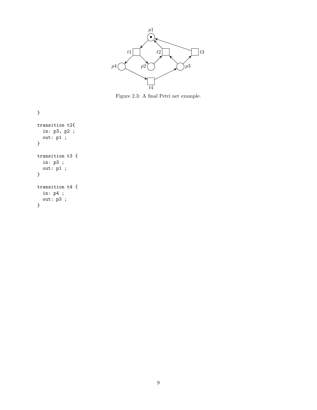

Figure 2.3: A final Petri net example.

} transition t2{ in: p3, p2 ; out: p1 ; } transition t3 { in: p3 ; out: p1 ; } transition t4 { in: p4 ;  $out: p3;$ }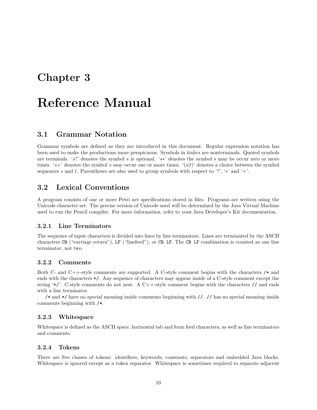# Reference Manual

### 3.1 Grammar Notation

Grammar symbols are defined as they are introduced in this document. Regular expression notation has been used to make the productions more perspicuous. Symbols in italics are nonterminals. Quoted symbols are terminals. 's?' denotes the symbol s is optional. 's∗' denotes the symbol s may be occur zero or more times. 's+' denotes the symbol s may occur one or more times. ' $(s|t)$ ' denotes a choice between the symbol sequences s and t. Parentheses are also used to group symbols with respect to '?', ' $*$ ' and '+'.

## 3.2 Lexical Conventions

A program consists of one or more Petri net specifications stored in files. Programs are written using the Unicode character set. The precise version of Unicode used will be determined by the Java Virtual Machine used to run the Pencil compiler. For more information, refer to your Java Developer's Kit documentation.

#### 3.2.1 Line Terminators

The sequence of input characters is divided into lines by line terminators. Lines are terminated by the ASCII characters CR ("carriage return"), LF ("linefeed"), or CR LF. The CR LF combination is counted as one line terminator, not two.

### 3.2.2 Comments

Both C- and C++-style comments are supported. A C-style comment begins with the characters /\* and ends with the characters \*/. Any sequence of characters may appear inside of a C-style comment except the string '\*/'. C-style comments do not nest. A C++-style comment begins with the characters  $\ell$  and ends with a line terminator.

/\* and \*/ have no special meaning inside comments beginning with //. // has no special meaning inside comments beginning with /\*.

### 3.2.3 Whitespace

Whitespace is defined as the ASCII space, horizontal tab and form feed characters, as well as line terminators and comments.

### 3.2.4 Tokens

There are five classes of tokens: identifiers, keywords, constants, separators and embedded Java blocks. Whitespace is ignored except as a token separator. Whitespace is sometimes required to separate adjacent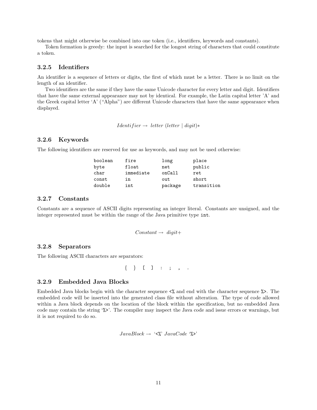tokens that might otherwise be combined into one token (i.e., identifiers, keywords and constants).

Token formation is greedy: the input is searched for the longest string of characters that could constitute a token.

### 3.2.5 Identifiers

An identifier is a sequence of letters or digits, the first of which must be a letter. There is no limit on the length of an identifier.

Two identifiers are the same if they have the same Unicode character for every letter and digit. Identifiers that have the same external appearance may not by identical. For example, the Latin capital letter 'A' and the Greek capital letter 'A' ("Alpha") are different Unicode characters that have the same appearance when displayed.

*Identifier* → *letter* (*letter* | *digit*)\*

### 3.2.6 Keywords

The following identifiers are reserved for use as keywords, and may not be used otherwise:

| boolean | fire      | long    | place      |
|---------|-----------|---------|------------|
| byte    | float     | net     | public     |
| char    | immediate | onCall  | ret        |
| const   | in        | out     | short      |
| double  | int       | package | transition |

#### 3.2.7 Constants

Constants are a sequence of ASCII digits representing an integer literal. Constants are unsigned, and the integer represented must be within the range of the Java primitive type int.

$$
Constant \rightarrow\ digit +
$$

#### 3.2.8 Separators

The following ASCII characters are separators:

 $\{ \}$  [ ] : ; , .

### 3.2.9 Embedded Java Blocks

Embedded Java blocks begin with the character sequence  $\langle \rangle$  and end with the character sequence  $\rangle$ . The embedded code will be inserted into the generated class file without alteration. The type of code allowed within a Java block depends on the location of the block within the specification, but no embedded Java code may contain the string '%>'. The compiler may inspect the Java code and issue errors or warnings, but it is not required to do so.

 $JavaBlock \rightarrow \langle \langle \cdot \rangle \rangle'$   $JavaCode \langle \cdot \rangle \rangle'$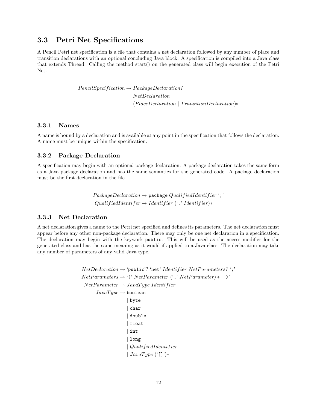## 3.3 Petri Net Specifications

A Pencil Petri net specification is a file that contains a net declaration followed by any number of place and transition declarations with an optional concluding Java block. A specification is compiled into a Java class that extends Thread. Calling the method start() on the generated class will begin execution of the Petri Net.

> $PencilSpecification \rightarrow PackageDeclaration?$ NetDeclaration (PlaceDeclaration | TransitionDeclaration)∗

### 3.3.1 Names

A name is bound by a declaration and is available at any point in the specification that follows the declaration. A name must be unique within the specification.

#### 3.3.2 Package Declaration

A specification may begin with an optional package declaration. A package declaration takes the same form as a Java package declaration and has the same semantics for the generated code. A package declaration must be the first declaration in the file.

> $Package Declaration \rightarrow package QualifiedIdentifier';'$  $QualifiedIdentifer \rightarrow Identifier$  ('.' Identifier)\*

### 3.3.3 Net Declaration

A net declaration gives a name to the Petri net specified and defines its parameters. The net declaration must appear before any other non-package declaration. There may only be one net declaration in a specification. The declaration may begin with the keywork public. This will be used as the access modifier for the generated class and has the same meaning as it would if applied to a Java class. The declaration may take any number of parameters of any valid Java type.

```
NetDeclaration \rightarrow 'public? 'net' Identifier NetParameters? ';'
NetParameters \rightarrow '('NetParameter (',' NetParameter) * '')'NetParameter \rightarrow JavaType IdentifierJavaType \rightarrow boolean| byte
                     | char
                     | double
                     | float
                     | int
                     | long
                    | QualifiedIdentifier
                    | JavaType ('[]')*
```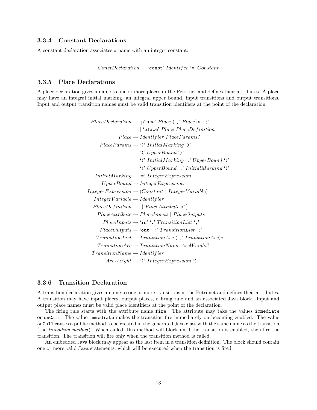### 3.3.4 Constant Declarations

A constant declaration associates a name with an integer constant.

```
ConstDeclaration \rightarrow 'const' Identifer '=' Constant
```
#### 3.3.5 Place Declarations

A place declaration gives a name to one or more places in the Petri net and defines their attributes. A place may have an integral initial marking, an integral upper bound, input transitions and output transitions. Input and output transition names must be valid transition identifiers at the point of the declaration.

```
PlaceDeclaration \rightarrow 'place' Place', Place) * ';'| 'place' Place PlaceDefinition
               Place \rightarrow Identifier PlaceParameters?PlaceParameters \rightarrow '('InitialMarkup')''(' UpperBound ')'
                          '(' InitialMarking ',' UpperBound ')'
                          '(' UpperBound ',' InitialMarking ')'
   InitialMarking \rightarrow \Leftrightarrow' IntegerExpression
       UpperBound \rightarrow IntegerExpressionInteger Expression \rightarrow (Constant | IntegerVariable)IntegerVariable \rightarrow IdentityPlaceDefinition \rightarrow \{'PlaceAttribute * '\}PlaceAttribute \rightarrow PlaceInputStreamuts \mid PlaceOutputStreamPlaceInputs \rightarrow 'in'':' TransitionList';'PlaceOutputs \rightarrow 'out'':' TransitionList';'TransitionList \rightarrow TransitionArc (',' TransitionArc)*
     TransitionArc \rightarrow TransitionName Arch\'{s}TransitionName \rightarrow IdentifierArcWeight \rightarrow '('Integer Expression')'
```
### 3.3.6 Transition Declaration

A transition declaration gives a name to one or more transitions in the Petri net and defines their attributes. A transition may have input places, output places, a firing rule and an associated Java block. Input and output place names must be valid place identifiers at the point of the declaration.

The firing rule starts with the attribute name fire. The attribute may take the values immediate or onCall. The value immediate makes the transition fire immediately on becoming enabled. The value onCall causes a public method to be created in the generated Java class with the same name as the transition (the transition method). When called, this method will block until the transition is enabled, then fire the transition. The transition will fire only when the transition method is called.

An embedded Java block may appear as the last item in a transition definition. The block should contain one or more valid Java statements, which will be executed when the transition is fired.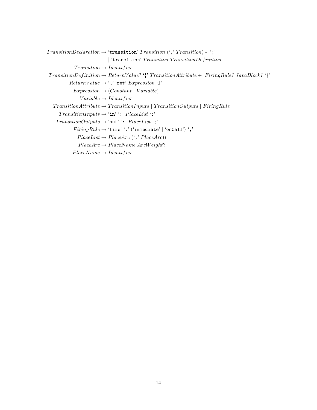```
TransformationDeclaration \rightarrow 'transition' Transition' (',' Transition)* ';'
                                | 'transition' Transition TransitionDefinition
              Transition \rightarrow IdentifierTransitionDefinition \rightarrow ReturnValue? {\{'}{\} TransitionAttribute + FiringRule? \} JavaBlock? {\}'}ReturnValue \rightarrow '[' 'ret' Expression ']'Expression \rightarrow (Constant \mid Variable)Variable \rightarrow IdentityTransitionAttribute \rightarrow TransitionInputStreamuts | TransitionOutputs | FiringRule
      TransitionInputStream \rightarrow 'in'':' PlaceList';'\begin{aligned} \textit{TransitionOutputStream} \rightarrow \text{`out'} : \textit{PlaceList'}; \end{aligned}FiringRule \rightarrow 'fire'':' ('immediate' | 'onCall')';'PlaceList \rightarrow PlaceArc (',' PlaceArc)*PlaceArc \rightarrow PlaceName~ArcWeight?PlaceName \rightarrow Identifier
```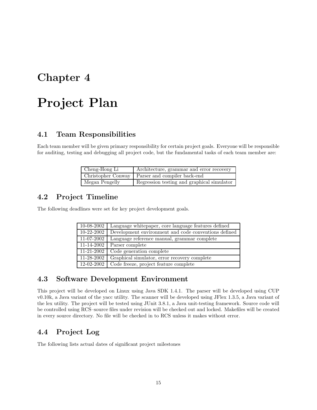# Project Plan

# 4.1 Team Responsibilities

Each team member will be given primary responsibility for certain project goals. Everyone will be responsible for auditing, testing and debugging all project code, but the fundamental tasks of each team member are:

| Cheng-Hong Li  | Architecture, grammar and error recovery          |
|----------------|---------------------------------------------------|
|                | Christopher Conway   Parser and compiler back-end |
| Megan Pengelly | Regression testing and graphical simulator        |

# 4.2 Project Timeline

The following deadlines were set for key project development goals.

| 10-08-2002               | Language white paper, core language features defined |
|--------------------------|------------------------------------------------------|
| $10 - 22 - 2002$         | Development environment and code conventions defined |
| 11-07-2002               | Language reference manual, grammar complete          |
| $\overline{11-14}$ -2002 | Parser complete                                      |
| $\overline{11}$ -21-2002 | Code generation complete                             |
| 11-28-2002               | Graphical simulator, error recovery complete         |
| 12-02-2002               | Code freeze, project feature complete                |

## 4.3 Software Development Environment

This project will be developed on Linux using Java SDK 1.4.1. The parser will be developed using CUP v0.10k, a Java variant of the yacc utility. The scanner will be developed using JFlex 1.3.5, a Java variant of the lex utility. The project will be tested using JUnit 3.8.1, a Java unit-testing framework. Source code will be controlled using RCS–source files under revision will be checked out and locked. Makefiles will be created in every source directory. No file will be checked in to RCS unless it makes without error.

# 4.4 Project Log

The following lists actual dates of significant project milestones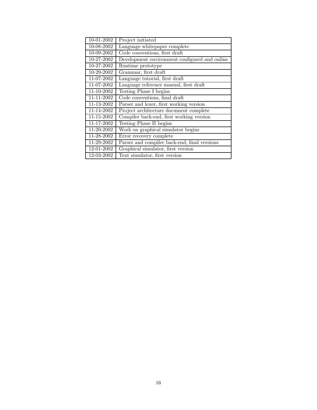| 10-01-2002 | Project initiated                             |
|------------|-----------------------------------------------|
| 10-08-2002 | Language whitepaper complete                  |
| 10-09-2002 | Code conventions, first draft                 |
| 10-27-2002 | Development environment configured and online |
| 10-27-2002 | Runtime prototype                             |
| 10-29-2002 | Grammar, first draft                          |
| 11-07-2002 | Language tutorial, first draft                |
| 11-07-2002 | Language reference manual, first draft        |
| 11-10-2002 | Testing Phase I begins                        |
| 11-11-2002 | Code conventions, final draft                 |
| 11-13-2002 | Parser and lexer, first working version       |
| 11-14-2002 | Project architecture document complete        |
| 11-15-2002 | Compiler back-end, first working version      |
| 11-17-2002 | Testing Phase II begins                       |
| 11-20-2002 | Work on graphical simulator begins            |
| 11-28-2002 | Error recovery complete                       |
| 11-29-2002 | Parser and compiler back-end, final versions  |
| 12-01-2002 | Graphical simulator, first version            |
| 12-03-2002 | Text simulator, first version                 |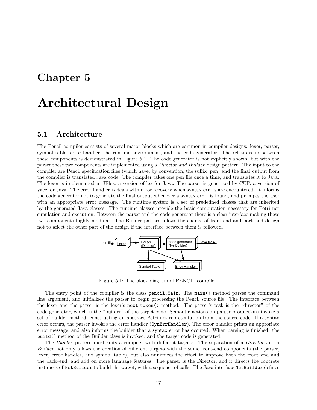# Architectural Design

### 5.1 Architecture

The Pencil compiler consists of several major blocks which are common in compiler designs: lexer, parser, symbol table, error handler, the runtime environment, and the code generator. The relationship between these components is demonstrated in Figure 5.1. The code generator is not explicitly shown; but with the parser these two components are implemented using a Director and Builder design pattern. The input to the compiler are Pencil specification files (which have, by convention, the suffix .pen) and the final output from the compiler is translated Java code. The compiler takes one pen file once a time, and translates it to Java. The lexer is implemented in JFlex, a version of lex for Java. The parser is generated by CUP, a version of yacc for Java. The error handler is deals with error recovery when syntax errors are encountered. It informs the code generator not to generate the final output whenever a syntax error is found, and prompts the user with an appropriate error message. The runtime system is a set of predefined classes that are inherited by the generated Java classes. The runtime classes provide the basic computation necessary for Petri net simulation and execution. Between the parser and the code generator there is a clear interface making these two components highly modular. The Builder pattern allows the change of front-end and back-end design not to affect the other part of the design if the interface between them is followed.



Figure 5.1: The block diagram of PENCIL compiler.

The entry point of the compiler is the class pencil.Main. The main() method parses the command line argument, and initializes the parser to begin processing the Pencil source file. The interface between the lexer and the parser is the lexer's next token() method. The parser's task is the "director" of the code generator, which is the "builder" of the target code. Semantic actions on parser productions invoke a set of builder method, constructing an abstract Petri net representation from the source code. If a syntax error occurs, the parser invokes the error handler (SynErrHandler). The error handler prints an approriate error message, and also informs the builder that a syntax error has occured. When parsing is finished. the build() method of the Builder class is invoked, and the target code is generated.

The Builder pattern most suits a compiler with different targets. The separation of a *Director* and a Builder not only allows the creation of different targets with the same front-end components (the parser, lexer, error handler, and symbol table), but also minimizes the effort to improve both the front–end and the back–end, and add on more language features. The parser is the Director, and it directs the concrete instances of NetBuilder to build the target, with a sequence of calls. The Java interface NetBuilder defines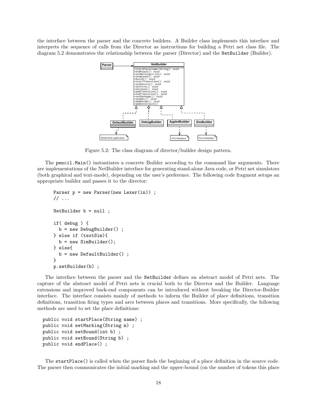the interface between the parser and the concrete builders. A Builder class implements this interface and interprets the sequence of calls from the Director as instructions for building a Petri net class file. The diagram 5.2 demonstrates the relationship between the parser (Director) and the NetBuilder (Builder).



Figure 5.2: The class diagram of director/builder design pattern.

The pencil.Main() instantiates a concrete Builder according to the command line arguments. There are implementations of the NetBuilder interface for generating stand-alone Java code, or Petri net simulators (both graphical and text-mode), depending on the user's preference. The following code fragment setups an appropriate builder and passes it to the director:

```
Parser p = new Parser(new Lexer(in)) ;
// ...
NetBuilder b = null ;
if( debug ) {
  b = new DebugBuilder() ;
} else if (textSim){
  b = new SimBuilder();
} else{
  b = new DefaultBuilder();
}
p.setBuilder(b) ;
```
The interface between the parser and the NetBuilder defines an abstract model of Petri nets. The capture of the abstract model of Petri nets is crucial both to the Director and the Builder. Language extensions and improved back-end components can be introduced without breaking the Director-Builder interface. The interface consists mainly of methods to inform the Builder of place definitions, transition definitions, transition firing types and arcs between places and transitions. More specifically, the following methods are used to set the place definitions:

```
public void startPlace(String name) ;
public void setMarking(String m) ;
public void setBound(int b) ;
public void setBound(String b) ;
public void endPlace() ;
```
The startPlace() is called when the parser finds the beginning of a place definition in the source code. The parser then communicates the initial marking and the upper-bound (on the number of tokens this place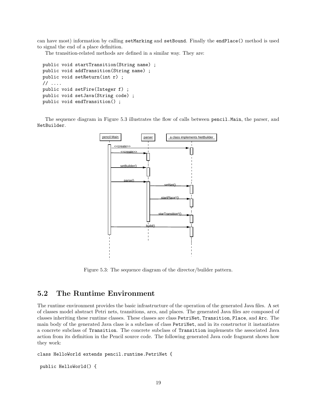can have most) information by calling setMarking and setBound. Finally the endPlace() method is used to signal the end of a place definition.

The transition-related methods are defined in a similar way. They are:

```
public void startTransition(String name) ;
public void addTransition(String name) ;
public void setReturn(int r) ;
// ....
public void setFire(Integer f) ;
public void setJava(String code) ;
public void endTransition() ;
```
The sequence diagram in Figure 5.3 illustrates the flow of calls between pencil.Main, the parser, and NetBuilder.



Figure 5.3: The sequence diagram of the director/builder pattern.

## 5.2 The Runtime Environment

The runtime environment provides the basic infrastructure of the operation of the generated Java files. A set of classes model abstract Petri nets, transitions, arcs, and places. The generated Java files are composed of classes inheriting these runtime classes. These classes are class PetriNet, Transition, Place, and Arc. The main body of the generated Java class is a subclass of class PetriNet, and in its constructor it instantiates a concrete subclass of Transition. The concrete subclass of Transition implements the associated Java action from its definition in the Pencil source code. The following generated Java code fragment shows how they work:

class HelloWorld extends pencil.runtime.PetriNet {

```
public HelloWorld() {
```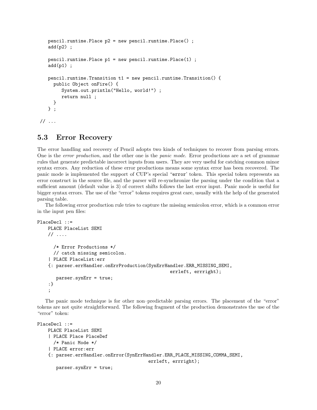```
pencil.runtime.Place p2 = new pencil.runtime.Place() ;
   add(p2);
   pencil.runtime.Place p1 = new pencil.runtime.Place(1) ;
   add(p1);
   pencil.runtime.Transition t1 = new pencil.runtime.Transition() {
     public Object onFire() {
        System.out.println("Hello, world!") ;
        return null ;
     }
   } ;
\frac{1}{2}...
```
## 5.3 Error Recovery

The error handling and recovery of Pencil adopts two kinds of techniques to recover from parsing errors. One is the error production, and the other one is the panic mode. Error productions are a set of grammar rules that generate predictable incorrect inputs from users. They are very useful for catching common minor syntax errors. Any reduction of these error productions means some syntax error has been recovered. The panic mode is implemented the support of CUP's special "error' token. This special token represents an error construct in the source file, and the parser will re-synchronize the parsing under the condition that a sufficient amount (default value is 3) of correct shifts follows the last error input. Panic mode is useful for bigger syntax errors. The use of the "error" tokens requires great care, usually with the help of the generated parsing table.

The following error production rule tries to capture the missing semicolon error, which is a common error in the input pen files:

```
PlaceDecl ::=
   PLACE PlaceList SEMI
   // ....
      /* Error Productions */
      // catch missing semicolon.
    | PLACE PlaceList:err
    {: parser.errHandler.onErrProduction(SynErrHandler.ERR_MISSING_SEMI,
                                                  errleft, errright);
       parser.synErr = true;
    :}
    ;
```
The panic mode technique is for other non–predictable parsing errors. The placement of the "error" tokens are not quite straightforward. The following fragment of the production demonstrates the use of the "error" token:

```
PlaceDecl ::=
   PLACE PlaceList SEMI
    | PLACE Place PlaceDef
      /* Panic Mode */
    | PLACE error:err
    {: parser.errHandler.onError(SynErrHandler.ERR_PLACE_MISSING_COMMA_SEMI,
                                          errleft, errright);
       parser.synErr = true;
```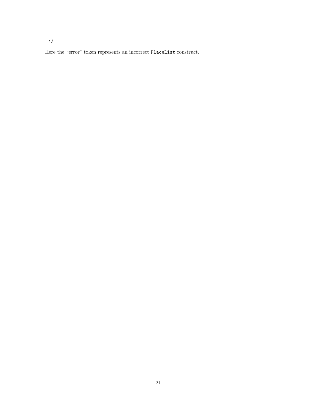:}

Here the "error" token represents an incorrect PlaceList construct.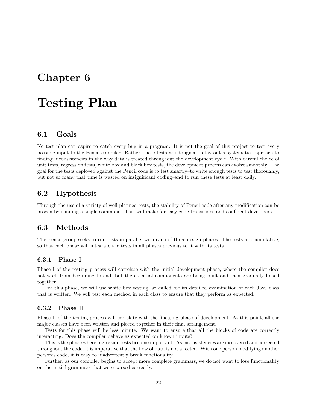# Testing Plan

## 6.1 Goals

No test plan can aspire to catch every bug in a program. It is not the goal of this project to test every possible input to the Pencil compiler. Rather, these tests are designed to lay out a systematic approach to finding inconsistencies in the way data is treated throughout the development cycle. With careful choice of unit tests, regression tests, white box and black box tests, the development process can evolve smoothly. The goal for the tests deployed against the Pencil code is to test smartly–to write enough tests to test thoroughly, but not so many that time is wasted on insignificant coding–and to run these tests at least daily.

### 6.2 Hypothesis

Through the use of a variety of well-planned tests, the stability of Pencil code after any modification can be proven by running a single command. This will make for easy code transitions and confident developers.

### 6.3 Methods

The Pencil group seeks to run tests in parallel with each of three design phases. The tests are cumulative, so that each phase will integrate the tests in all phases previous to it with its tests.

### 6.3.1 Phase I

Phase I of the testing process will correlate with the initial development phase, where the compiler does not work from beginning to end, but the essential components are being built and then gradually linked together.

For this phase, we will use white box testing, so called for its detailed examination of each Java class that is written. We will test each method in each class to ensure that they perform as expected.

### 6.3.2 Phase II

Phase II of the testing process will correlate with the finessing phase of development. At this point, all the major classes have been written and pieced together in their final arrangement.

Tests for this phase will be less minute. We want to ensure that all the blocks of code are correctly interacting. Does the compiler behave as expected on known inputs?

This is the phase where regression tests become important. As inconsistencies are discovered and corrected throughout the code, it is imperative that the flow of data is not affected. With one person modifying another person's code, it is easy to inadvertently break functionality.

Further, as our compiler begins to accept more complete grammars, we do not want to lose functionality on the initial grammars that were parsed correctly.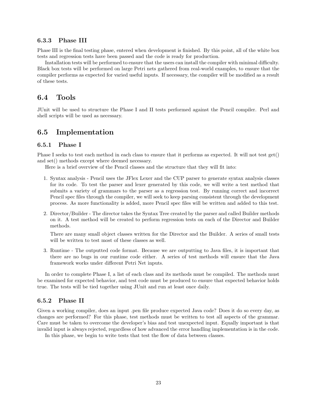### 6.3.3 Phase III

Phase III is the final testing phase, entered when development is finished. By this point, all of the white box tests and regression tests have been passed and the code is ready for production.

Installation tests will be performed to ensure that the users can install the compiler with minimal difficulty. Black box tests will be performed on large Petri nets gathered from real-world examples, to ensure that the compiler performs as expected for varied useful inputs. If necessary, the compiler will be modified as a result of these tests.

### 6.4 Tools

JUnit will be used to structure the Phase I and II tests performed against the Pencil compiler. Perl and shell scripts will be used as necessary.

### 6.5 Implementation

### 6.5.1 Phase I

Phase I seeks to test each method in each class to ensure that it performs as expected. It will not test get() and set() methods except where deemed necessary.

Here is a brief overview of the Pencil classes and the structure that they will fit into:

- 1. Syntax analysis Pencil uses the JFlex Lexer and the CUP parser to generate syntax analysis classes for its code. To test the parser and lexer generated by this code, we will write a test method that submits a variety of grammars to the parser as a regression test. By running correct and incorrect Pencil spec files through the compiler, we will seek to keep parsing consistent through the development process. As more functionality is added, more Pencil spec files will be written and added to this test.
- 2. Director/Builder The director takes the Syntax Tree created by the parser and called Builder methods on it. A test method will be created to perform regression tests on each of the Director and Builder methods.

There are many small object classes written for the Director and the Builder. A series of small tests will be written to test most of these classes as well.

3. Runtime - The outputted code format. Because we are outputting to Java files, it is important that there are no bugs in our runtime code either. A series of test methods will ensure that the Java framework works under different Petri Net inputs.

In order to complete Phase I, a list of each class and its methods must be compiled. The methods must be examined for expected behavior, and test code must be produced to ensure that expected behavior holds true. The tests will be tied together using JUnit and run at least once daily.

### 6.5.2 Phase II

Given a working compiler, does an input .pen file produce expected Java code? Does it do so every day, as changes are performed? For this phase, test methods must be written to test all aspects of the grammar. Care must be taken to overcome the developer's bias and test unexpected input. Equally important is that invalid input is always rejected, regardless of how advanced the error handling implementation is in the code.

In this phase, we begin to write tests that test the flow of data between classes.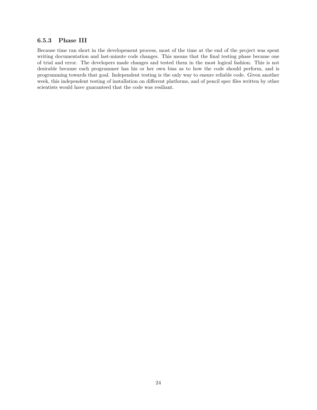### 6.5.3 Phase III

Because time ran short in the developement process, most of the time at the end of the project was spent writing documentation and last-minute code changes. This means that the final testing phase became one of trial and error. The developers made changes and tested them in the most logical fashion. This is not desirable because each programmer has his or her own bias as to how the code should perform, and is programming towards that goal. Independent testing is the only way to ensure reliable code. Given another week, this independent testing of installation on different platforms, and of pencil spec files written by other scientists would have guaranteed that the code was resiliant.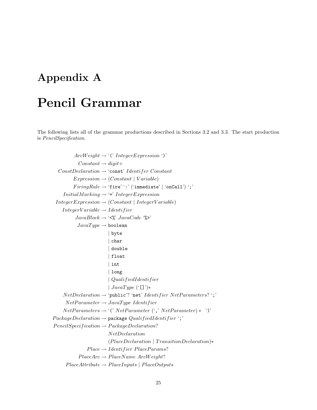# Appendix A

# Pencil Grammar

The following lists all of the grammar productions described in Sections 3.2 and 3.3. The start production is PencilSpecification.

 $ArcWeight \rightarrow '('Integer Expression')'$  $Constant \rightarrow digit+$  $ConstDeclaration \rightarrow 'const'$  Identifer Constant  $Expression \rightarrow (Constant \mid Variable)$  $FiringRule \rightarrow 'fire'$ :' ('immediate' | 'onCall') ';'  $InitialMarking \rightarrow \Leftrightarrow' Interexpression$  $IntegerExpression \rightarrow (Constant | IntegerVariable)$  $IntegerVariable \rightarrow Identity$  $JavaBlock \rightarrow \langle \langle \cdot \rangle \rangle'$   $JavaCode \langle \cdot \rangle \rangle'$  $JavaType \rightarrow boolean$ | byte | char | double | float | int | long | QualifiedIdentifier |  $JavaType$  ('[]')∗  $NetDeclaration \rightarrow 'public'$ ? 'net' Identifier NetParameters? ';'  $NetParameter \rightarrow JavaType Identifier$  $NetParameters \rightarrow '('NetParameter (', 'NetParameter) * '')'$  $Package Declaration \rightarrow package QualifiedIdentifier';'$  $PencilSpecification \rightarrow PackageDeclaration?$ NetDeclaration (PlaceDeclaration | TransitionDeclaration)∗  $Place \rightarrow Identifier$   $Place~Parameters?$  $PlaceArc \rightarrow PlaceName$   $ArcWeight?$  $PlaceAttribute \rightarrow PlaceInputStreampts | PlaceOutputStream$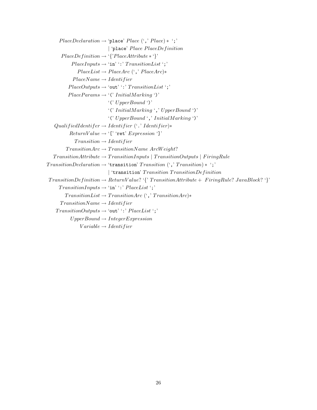```
PlaceDeclaration \rightarrow 'place' Place', Place) * ';'| 'place' Place PlaceDefinition
       PlaceDefinition \rightarrow '{'PlaceAttribute * ''}PlaceInputStream \rightarrow 'in' ':' TransitionList';'
               PlaceList \rightarrow PlaceArc (',' PlaceArc)*
             PlaceName \rightarrow IdentifierPlaceOutputs \rightarrow 'out'':' TransitionList';'PlaceParameters \rightarrow '('InitialMarkup')''(' UpperBound ')'
                               '(' InitialMarking ',' UpperBound ')'
                               '(' UpperBound ',' InitialMarking ')'
   QualifiedIdentifer \rightarrow Identifier ('.' Identifier)*
           ReturnValue \rightarrow '[' 'ret' Expression ']'Transition \rightarrow IdentifierTransformationArc \rightarrow TransitionName ArchistionTransitionAttribute \rightarrow TransitionInputStreamInputStreamOutputStreamOutputStream) | FiringRule
TransformationDeclaration \rightarrow 'transition' Transition';" Transition (',' Transition';"
                               | 'transition' Transition TransitionDefinition
TransitionDefinition \rightarrow ReturnValue? '{' TransitionAttribute + FiringRule? JavaBlock? '}'
     \label{eq:transition} TransitionInputStream \rightarrow `in'':' PlaceList ';'TransitionList \rightarrow TransitionArc (',' TranslationArc)*
      TransitionName \rightarrow IdentityTransformationOutputs \rightarrow 'out'':' PlaceList';'\label{thm:upperBound} UpperBound \rightarrow IntegerExpressionVariable \rightarrow Identity
```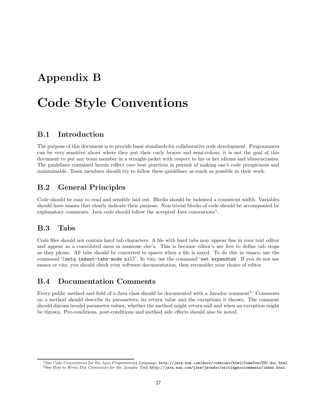# Appendix B

# Code Style Conventions

## B.1 Introduction

The purpose of this document is to provide basic standards for collaborative code development. Programmers can be very sensitive about where they put their curly braces and semi-colons; it is not the goal of this document to put any team member in a straight-jacket with respect to his or her idioms and idiosyncrasies. The guidelines contained herein reflect core best practices in pursuit of making one's code perspicuous and maintainable. Team members should try to follow these guidelines as much as possible in their work.

# B.2 General Principles

Code should be easy to read and sensibly laid out. Blocks should be indented a consistent width. Variables should have names that clearly indicate their purpose. Non-trivial blocks of code should be accompanied by explanatory comments. Java code should follow the accepted Java conventions<sup>1</sup>.

## B.3 Tabs

Code files should not contain hard tab characters. A file with hard tabs may appear fine in your text editor and appear as a convoluted mess in someone else's. This is because editor's are free to define tab stops as they please. All tabs should be converted to spaces when a file is saved. To do this in emacs, use the command '(setq indent-tabs-mode nil)'. In vim, use the command 'set expandtab'. If you do not use emacs or vim, you should check your software documentation, then reconsider your choice of editor.

# B.4 Documentation Comments

Every public method and field of a Java class should be documented with a Javadoc comment<sup>2</sup>. Comments on a method should describe its parameters, its return value and the exceptions it throws. The comment should discuss invalid parameter values, whether the method might return null and when an exception might be thrown. Pre-conditions, post-conditions and method side effects should also be noted.

 $1$ See Code Conventions for the Java Programming Language,  ${\tt http://java.sun.com/docs/codeconv/html/CodeConvTOC.doc.html}$ <sup>2</sup>See How to Write Doc Comments for the Javadoc Tool, http://java.sun.com/j2se/javadoc/writingdoccomments/index.html.